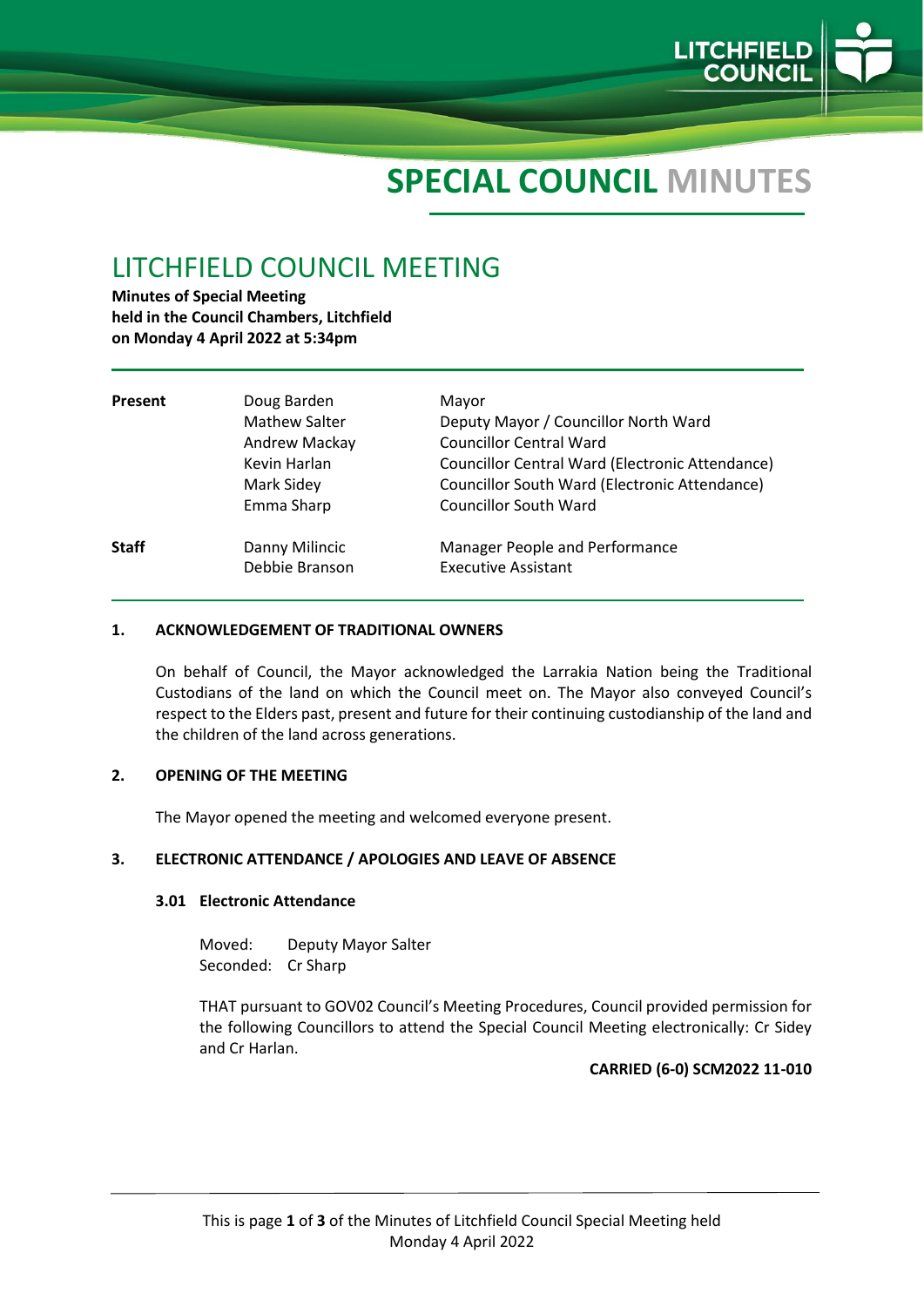

# **SPECIAL COUNCIL MINUTES**

# LITCHFIELD COUNCIL MEETING

**Minutes of Special Meeting held in the Council Chambers, Litchfield on Monday 4 April 2022 at 5:34pm**

| Present      | Doug Barden<br><b>Mathew Salter</b><br>Andrew Mackay<br>Kevin Harlan<br>Mark Sidey<br>Emma Sharp | Mayor<br>Deputy Mayor / Councillor North Ward<br><b>Councillor Central Ward</b><br>Councillor Central Ward (Electronic Attendance)<br>Councillor South Ward (Electronic Attendance)<br><b>Councillor South Ward</b> |
|--------------|--------------------------------------------------------------------------------------------------|---------------------------------------------------------------------------------------------------------------------------------------------------------------------------------------------------------------------|
| <b>Staff</b> | Danny Milincic<br>Debbie Branson                                                                 | <b>Manager People and Performance</b><br><b>Executive Assistant</b>                                                                                                                                                 |

#### **1. ACKNOWLEDGEMENT OF TRADITIONAL OWNERS**

On behalf of Council, the Mayor acknowledged the Larrakia Nation being the Traditional Custodians of the land on which the Council meet on. The Mayor also conveyed Council's respect to the Elders past, present and future for their continuing custodianship of the land and the children of the land across generations.

#### **2. OPENING OF THE MEETING**

The Mayor opened the meeting and welcomed everyone present.

#### **3. ELECTRONIC ATTENDANCE / APOLOGIES AND LEAVE OF ABSENCE**

#### **3.01 Electronic Attendance**

Moved: Deputy Mayor Salter Seconded: Cr Sharp

THAT pursuant to GOV02 Council's Meeting Procedures, Council provided permission for the following Councillors to attend the Special Council Meeting electronically: Cr Sidey and Cr Harlan.

#### **CARRIED (6-0) SCM2022 11-010**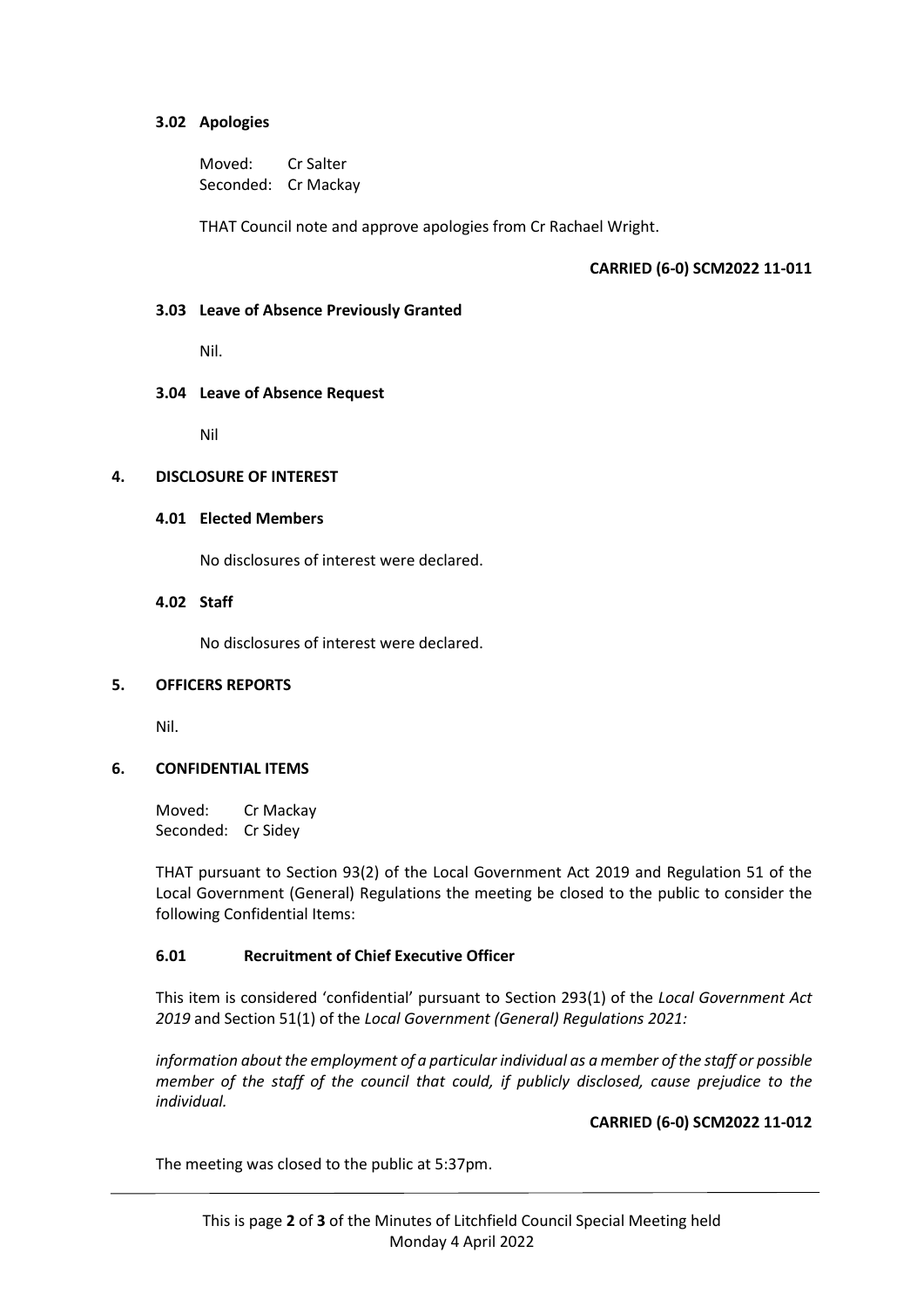#### **3.02 Apologies**

Moved: Cr Salter Seconded: Cr Mackay

THAT Council note and approve apologies from Cr Rachael Wright.

# **CARRIED (6-0) SCM2022 11-011**

#### **3.03 Leave of Absence Previously Granted**

Nil.

#### **3.04 Leave of Absence Request**

Nil

#### **4. DISCLOSURE OF INTEREST**

#### **4.01 Elected Members**

No disclosures of interest were declared.

#### **4.02 Staff**

No disclosures of interest were declared.

#### **5. OFFICERS REPORTS**

Nil.

#### **6. CONFIDENTIAL ITEMS**

Moved: Cr Mackay Seconded: Cr Sidey

THAT pursuant to Section 93(2) of the Local Government Act 2019 and Regulation 51 of the Local Government (General) Regulations the meeting be closed to the public to consider the following Confidential Items:

#### **6.01 Recruitment of Chief Executive Officer**

This item is considered 'confidential' pursuant to Section 293(1) of the *Local Government Act 2019* and Section 51(1) of the *Local Government (General) Regulations 2021:*

*information about the employment of a particular individual as a member of the staff or possible member of the staff of the council that could, if publicly disclosed, cause prejudice to the individual.*

#### **CARRIED (6-0) SCM2022 11-012**

The meeting was closed to the public at 5:37pm.